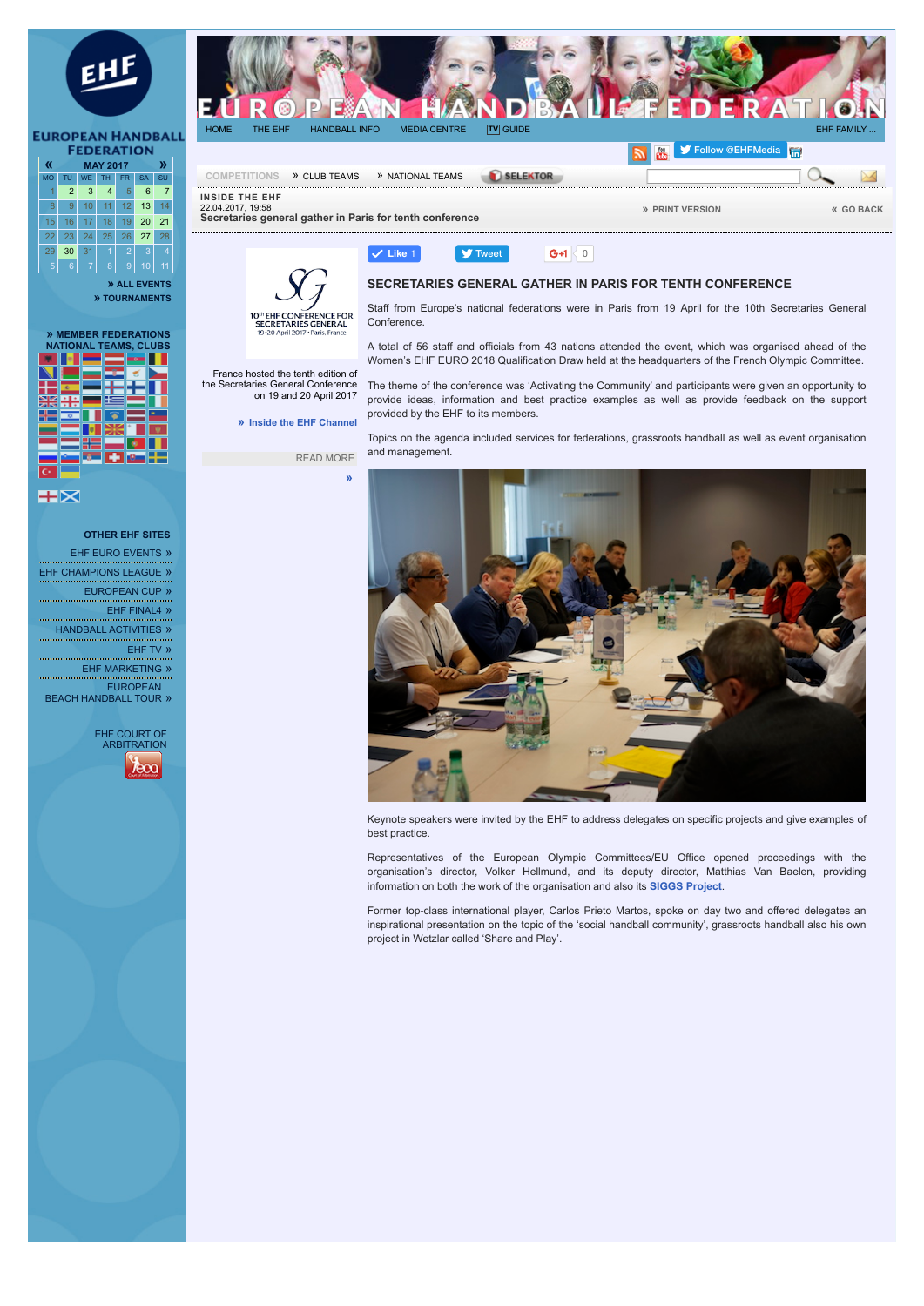

 16 17 18 19 20 21 23 24 25 26 27 28 29 30 31 1 2 3 4 6 7 8 9 10 11

> **[» ALL EVENTS](http://www.eurohandball.com/events) [» TOURNAMENTS](http://www.eurohandball.com/tournaments)**

> > France hosted the tenth edition of the Secretaries General Conference on 19 and 20 April 2017 **» [Inside the EHF Channel](http://www.eurohandball.com/news/inside-the-ehf)**

**SECRETARIES GENERAL** 19-20 April 2017

READ MORE

**E FOR** 

**[»](http://ehf/jjr)**

**Like** 1

| » MEMBER FEDERATIONS<br><b>NATIONAL TEAMS, CLUBS</b> |                |  |  |    |  |
|------------------------------------------------------|----------------|--|--|----|--|
|                                                      |                |  |  | 10 |  |
|                                                      |                |  |  |    |  |
|                                                      |                |  |  |    |  |
|                                                      |                |  |  |    |  |
|                                                      |                |  |  |    |  |
|                                                      |                |  |  |    |  |
|                                                      |                |  |  |    |  |
|                                                      |                |  |  |    |  |
|                                                      |                |  |  |    |  |
|                                                      | $\overline{ }$ |  |  |    |  |

89 S

**OTHER EHF SITES** 

- [EHF EURO EVENTS](http://www.ehf-euro.com/) »
- [EHF CHAMPIONS LEAGUE](http://www.ehfcl.com/) »
	- [EUROPEAN CUP](http://europeancup.eurohandball.com/) »

[EHF FINAL4](http://www.ehffinal4.com/) »

[HANDBALL ACTIVITIES](http://activities.eurohandball.com/) »

[EHF TV](http://www.ehftv.com/) » EHE MARKETING »

EUROPEAN [BEACH HANDBALL TOUR](http://ebt.eurohandball.com/) »





 $\bullet$  [Tweet](https://twitter.com/intent/tweet?hashtags=ehfcl&original_referer=http%3A%2F%2Fwww.eurohandball.com%2Farticle%2F028367%2FSecretaries%2Bgeneral%2Bgather%2Bin%2BParis%2Bfor%2Btenth%2Bconference&ref_src=twsrc%5Etfw&text=European%20Handball%20Federation%20-%20Secretaries%20general%20gather%20in%20Paris%20for%20tenth%20conference%20%2F%20Article&tw_p=tweetbutton&url=http%3A%2F%2Fwww.eurohandball.com%2Farticle%2F028367%2FSecretaries%2Bgeneral%2Bgather%2Bin%2BParis%2Bfor%2Btenth%2Bconference)  $\bullet$  6+1  $\circ$ 

Staff from Europe's national federations were in Paris from 19 April for the 10th Secretaries General Conference.

A total of 56 staff and officials from 43 nations attended the event, which was organised ahead of the Women's EHF EURO 2018 Qualification Draw held at the headquarters of the French Olympic Committee.

The theme of the conference was 'Activating the Community' and participants were given an opportunity to provide ideas, information and best practice examples as well as provide feedback on the support provided by the EHF to its members.

Topics on the agenda included services for federations, grassroots handball as well as event organisation and management.



Keynote speakers were invited by the EHF to address delegates on specific projects and give examples of best practice.

Representatives of the European Olympic Committees/EU Office opened proceedings with the organisation's director, Volker Hellmund, and its deputy director, Matthias Van Baelen, providing information on both the work of the organisation and also its **[SIGGS Project](https://www.siggs.eu/)**.

Former top-class international player, Carlos Prieto Martos, spoke on day two and offered delegates an inspirational presentation on the topic of the 'social handball community', grassroots handball also his own project in Wetzlar called 'Share and Play'.